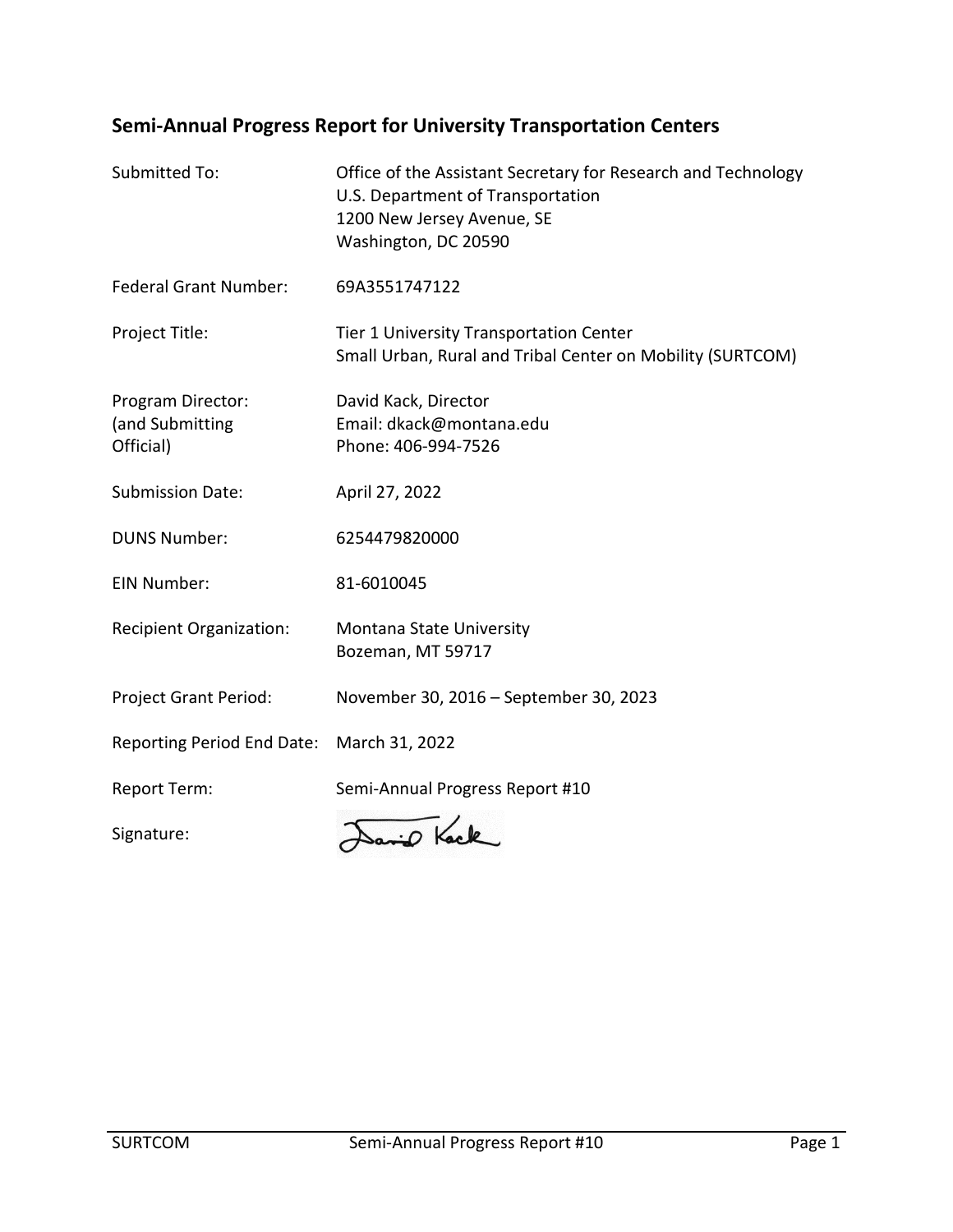# **Semi-Annual Progress Report for University Transportation Centers**

| Submitted To:                                     | Office of the Assistant Secretary for Research and Technology<br>U.S. Department of Transportation<br>1200 New Jersey Avenue, SE<br>Washington, DC 20590 |
|---------------------------------------------------|----------------------------------------------------------------------------------------------------------------------------------------------------------|
| <b>Federal Grant Number:</b>                      | 69A3551747122                                                                                                                                            |
| Project Title:                                    | Tier 1 University Transportation Center<br>Small Urban, Rural and Tribal Center on Mobility (SURTCOM)                                                    |
| Program Director:<br>(and Submitting<br>Official) | David Kack, Director<br>Email: dkack@montana.edu<br>Phone: 406-994-7526                                                                                  |
| <b>Submission Date:</b>                           | April 27, 2022                                                                                                                                           |
| <b>DUNS Number:</b>                               | 6254479820000                                                                                                                                            |
| <b>EIN Number:</b>                                | 81-6010045                                                                                                                                               |
| <b>Recipient Organization:</b>                    | Montana State University<br>Bozeman, MT 59717                                                                                                            |
| Project Grant Period:                             | November 30, 2016 - September 30, 2023                                                                                                                   |
| Reporting Period End Date:                        | March 31, 2022                                                                                                                                           |
| <b>Report Term:</b>                               | Semi-Annual Progress Report #10                                                                                                                          |
| Signature:                                        | David Kack                                                                                                                                               |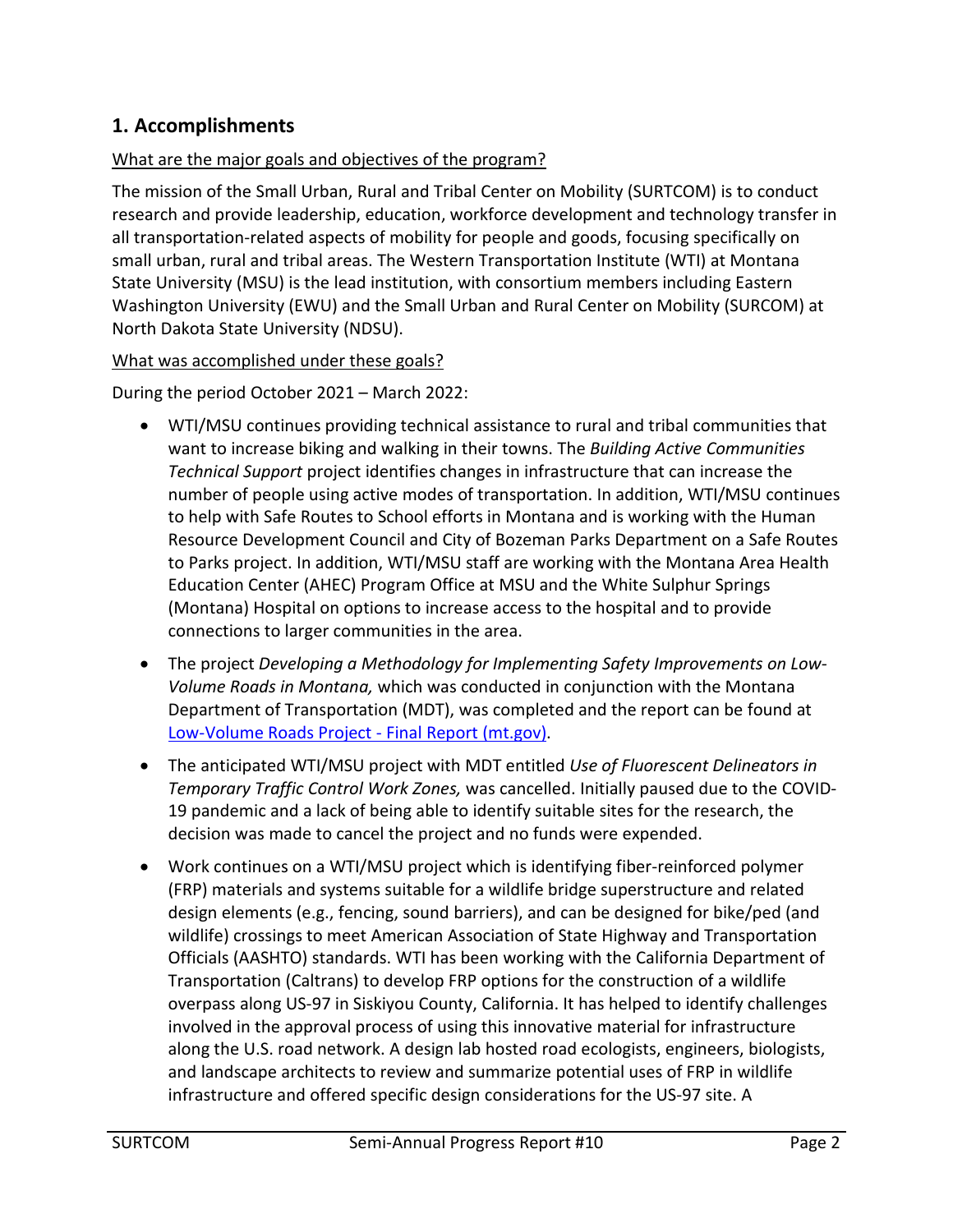# **1. Accomplishments**

#### What are the major goals and objectives of the program?

The mission of the Small Urban, Rural and Tribal Center on Mobility (SURTCOM) is to conduct research and provide leadership, education, workforce development and technology transfer in all transportation-related aspects of mobility for people and goods, focusing specifically on small urban, rural and tribal areas. The Western Transportation Institute (WTI) at Montana State University (MSU) is the lead institution, with consortium members including Eastern Washington University (EWU) and the Small Urban and Rural Center on Mobility (SURCOM) at North Dakota State University (NDSU).

#### What was accomplished under these goals?

During the period October 2021 – March 2022:

- WTI/MSU continues providing technical assistance to rural and tribal communities that want to increase biking and walking in their towns. The *Building Active Communities Technical Support* project identifies changes in infrastructure that can increase the number of people using active modes of transportation. In addition, WTI/MSU continues to help with Safe Routes to School efforts in Montana and is working with the Human Resource Development Council and City of Bozeman Parks Department on a Safe Routes to Parks project. In addition, WTI/MSU staff are working with the Montana Area Health Education Center (AHEC) Program Office at MSU and the White Sulphur Springs (Montana) Hospital on options to increase access to the hospital and to provide connections to larger communities in the area.
- The project *Developing a Methodology for Implementing Safety Improvements on Low-Volume Roads in Montana,* which was conducted in conjunction with the Montana Department of Transportation (MDT), was completed and the report can be found at [Low-Volume Roads Project - Final Report \(mt.gov\).](https://www.mdt.mt.gov/other/webdata/external/research/docs/research_proj/lvr-safety/Final-Report.pdf)
- The anticipated WTI/MSU project with MDT entitled *Use of Fluorescent Delineators in Temporary Traffic Control Work Zones,* was cancelled. Initially paused due to the COVID-19 pandemic and a lack of being able to identify suitable sites for the research, the decision was made to cancel the project and no funds were expended.
- Work continues on a WTI/MSU project which is identifying fiber-reinforced polymer (FRP) materials and systems suitable for a wildlife bridge superstructure and related design elements (e.g., fencing, sound barriers), and can be designed for bike/ped (and wildlife) crossings to meet American Association of State Highway and Transportation Officials (AASHTO) standards. WTI has been working with the California Department of Transportation (Caltrans) to develop FRP options for the construction of a wildlife overpass along US-97 in Siskiyou County, California. It has helped to identify challenges involved in the approval process of using this innovative material for infrastructure along the U.S. road network. A design lab hosted road ecologists, engineers, biologists, and landscape architects to review and summarize potential uses of FRP in wildlife infrastructure and offered specific design considerations for the US-97 site. A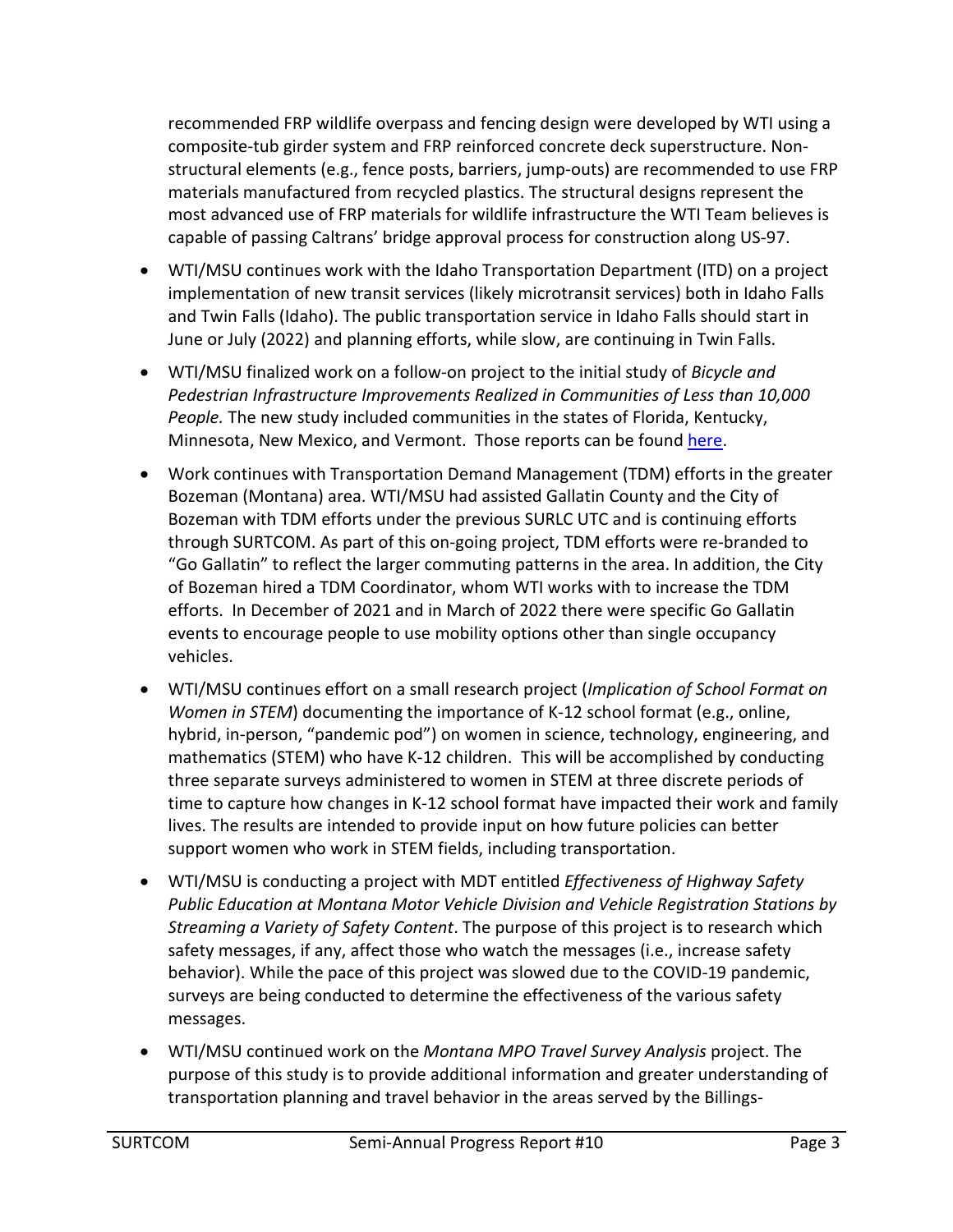recommended FRP wildlife overpass and fencing design were developed by WTI using a composite-tub girder system and FRP reinforced concrete deck superstructure. Nonstructural elements (e.g., fence posts, barriers, jump-outs) are recommended to use FRP materials manufactured from recycled plastics. The structural designs represent the most advanced use of FRP materials for wildlife infrastructure the WTI Team believes is capable of passing Caltrans' bridge approval process for construction along US-97.

- WTI/MSU continues work with the Idaho Transportation Department (ITD) on a project implementation of new transit services (likely microtransit services) both in Idaho Falls and Twin Falls (Idaho). The public transportation service in Idaho Falls should start in June or July (2022) and planning efforts, while slow, are continuing in Twin Falls.
- WTI/MSU finalized work on a follow-on project to the initial study of *Bicycle and Pedestrian Infrastructure Improvements Realized in Communities of Less than 10,000 People.* The new study included communities in the states of Florida, Kentucky, Minnesota, New Mexico, and Vermont. Those reports can be found [here.](https://westerntransportationinstitute.org/research_projects/case-studies-of-communities-of-less-than-10000-people-with-bicycle-pedestrian-infrastructure/)
- Work continues with Transportation Demand Management (TDM) efforts in the greater Bozeman (Montana) area. WTI/MSU had assisted Gallatin County and the City of Bozeman with TDM efforts under the previous SURLC UTC and is continuing efforts through SURTCOM. As part of this on-going project, TDM efforts were re-branded to "Go Gallatin" to reflect the larger commuting patterns in the area. In addition, the City of Bozeman hired a TDM Coordinator, whom WTI works with to increase the TDM efforts. In December of 2021 and in March of 2022 there were specific Go Gallatin events to encourage people to use mobility options other than single occupancy vehicles.
- WTI/MSU continues effort on a small research project (*Implication of School Format on Women in STEM*) documenting the importance of K-12 school format (e.g., online, hybrid, in-person, "pandemic pod") on women in science, technology, engineering, and mathematics (STEM) who have K-12 children. This will be accomplished by conducting three separate surveys administered to women in STEM at three discrete periods of time to capture how changes in K-12 school format have impacted their work and family lives. The results are intended to provide input on how future policies can better support women who work in STEM fields, including transportation.
- WTI/MSU is conducting a project with MDT entitled *Effectiveness of Highway Safety Public Education at Montana Motor Vehicle Division and Vehicle Registration Stations by Streaming a Variety of Safety Content*. The purpose of this project is to research which safety messages, if any, affect those who watch the messages (i.e., increase safety behavior). While the pace of this project was slowed due to the COVID-19 pandemic, surveys are being conducted to determine the effectiveness of the various safety messages.
- WTI/MSU continued work on the *Montana MPO Travel Survey Analysis* project. The purpose of this study is to provide additional information and greater understanding of transportation planning and travel behavior in the areas served by the Billings-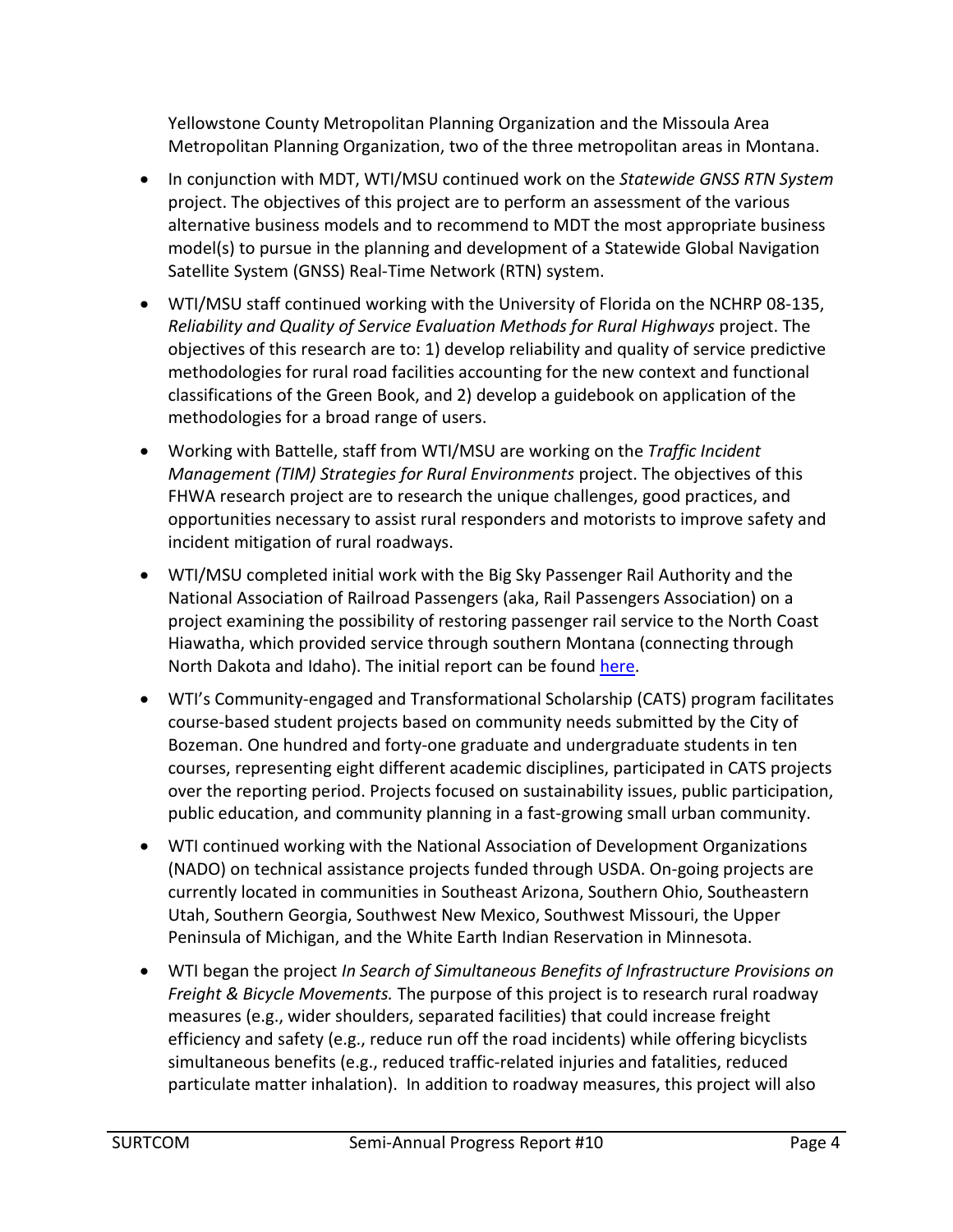Yellowstone County Metropolitan Planning Organization and the Missoula Area Metropolitan Planning Organization, two of the three metropolitan areas in Montana.

- In conjunction with MDT, WTI/MSU continued work on the *Statewide GNSS RTN System* project. The objectives of this project are to perform an assessment of the various alternative business models and to recommend to MDT the most appropriate business model(s) to pursue in the planning and development of a Statewide Global Navigation Satellite System (GNSS) Real-Time Network (RTN) system.
- WTI/MSU staff continued working with the University of Florida on the NCHRP 08-135, *Reliability and Quality of Service Evaluation Methods for Rural Highways* project. The objectives of this research are to: 1) develop reliability and quality of service predictive methodologies for rural road facilities accounting for the new context and functional classifications of the Green Book, and 2) develop a guidebook on application of the methodologies for a broad range of users.
- Working with Battelle, staff from WTI/MSU are working on the *Traffic Incident Management (TIM) Strategies for Rural Environments* project. The objectives of this FHWA research project are to research the unique challenges, good practices, and opportunities necessary to assist rural responders and motorists to improve safety and incident mitigation of rural roadways.
- WTI/MSU completed initial work with the Big Sky Passenger Rail Authority and the National Association of Railroad Passengers (aka, Rail Passengers Association) on a project examining the possibility of restoring passenger rail service to the North Coast Hiawatha, which provided service through southern Montana (connecting through North Dakota and Idaho). The initial report can be found [here.](https://static1.squarespace.com/static/601b3c34aabc2212d364dd39/t/6168ad0dcaac9b26e34c5663/1634250007612/North+Coast+Hiawatha+Restoration.pdf)
- WTI's Community-engaged and Transformational Scholarship (CATS) program facilitates course-based student projects based on community needs submitted by the City of Bozeman. One hundred and forty-one graduate and undergraduate students in ten courses, representing eight different academic disciplines, participated in CATS projects over the reporting period. Projects focused on sustainability issues, public participation, public education, and community planning in a fast-growing small urban community.
- WTI continued working with the National Association of Development Organizations (NADO) on technical assistance projects funded through USDA. On-going projects are currently located in communities in Southeast Arizona, Southern Ohio, Southeastern Utah, Southern Georgia, Southwest New Mexico, Southwest Missouri, the Upper Peninsula of Michigan, and the White Earth Indian Reservation in Minnesota.
- WTI began the project *In Search of Simultaneous Benefits of Infrastructure Provisions on Freight & Bicycle Movements.* The purpose of this project is to research rural roadway measures (e.g., wider shoulders, separated facilities) that could increase freight efficiency and safety (e.g., reduce run off the road incidents) while offering bicyclists simultaneous benefits (e.g., reduced traffic-related injuries and fatalities, reduced particulate matter inhalation). In addition to roadway measures, this project will also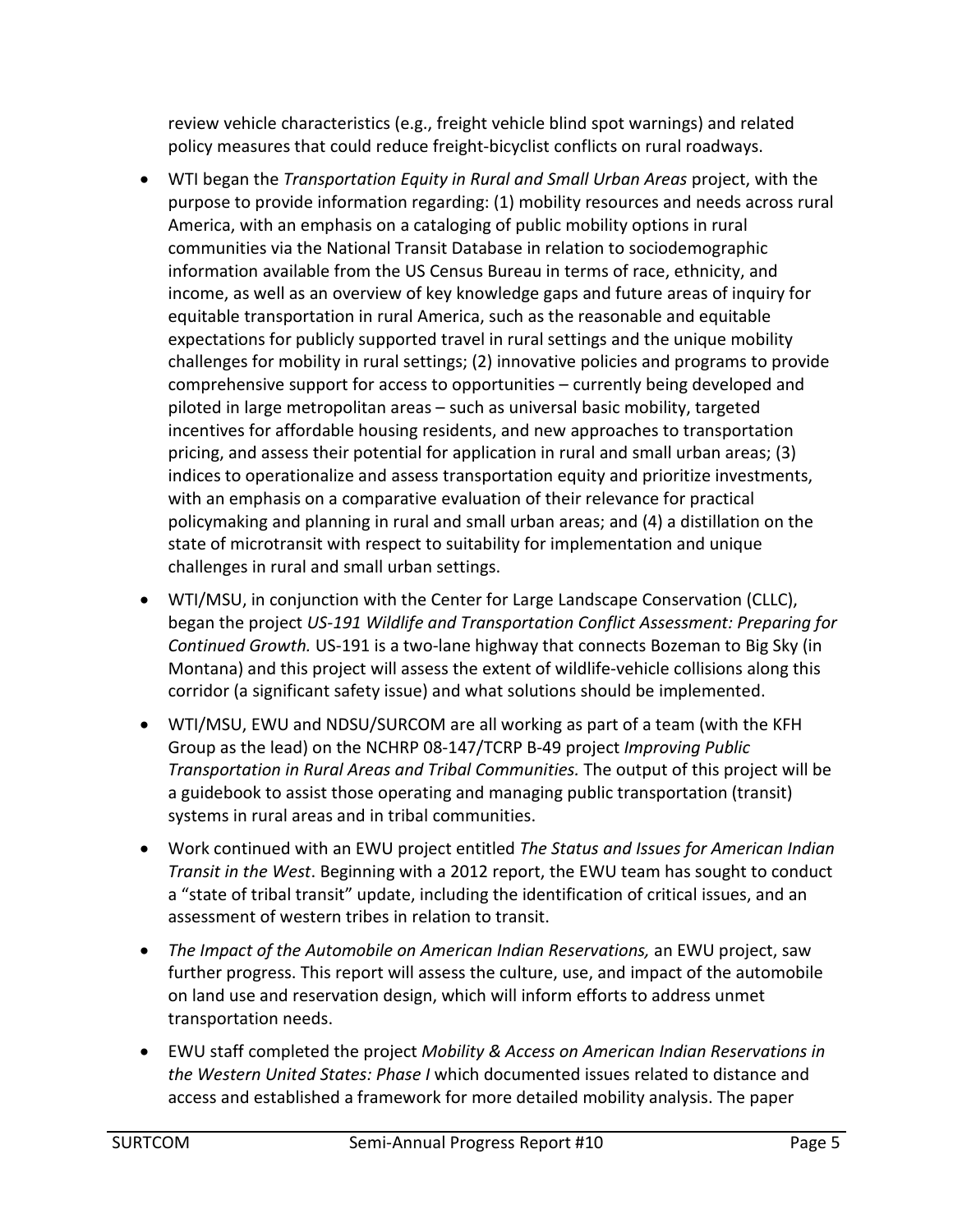review vehicle characteristics (e.g., freight vehicle blind spot warnings) and related policy measures that could reduce freight-bicyclist conflicts on rural roadways.

- WTI began the *Transportation Equity in Rural and Small Urban Areas* project, with the purpose to provide information regarding: (1) mobility resources and needs across rural America, with an emphasis on a cataloging of public mobility options in rural communities via the National Transit Database in relation to sociodemographic information available from the US Census Bureau in terms of race, ethnicity, and income, as well as an overview of key knowledge gaps and future areas of inquiry for equitable transportation in rural America, such as the reasonable and equitable expectations for publicly supported travel in rural settings and the unique mobility challenges for mobility in rural settings; (2) innovative policies and programs to provide comprehensive support for access to opportunities – currently being developed and piloted in large metropolitan areas – such as universal basic mobility, targeted incentives for affordable housing residents, and new approaches to transportation pricing, and assess their potential for application in rural and small urban areas; (3) indices to operationalize and assess transportation equity and prioritize investments, with an emphasis on a comparative evaluation of their relevance for practical policymaking and planning in rural and small urban areas; and (4) a distillation on the state of microtransit with respect to suitability for implementation and unique challenges in rural and small urban settings.
- WTI/MSU, in conjunction with the Center for Large Landscape Conservation (CLLC), began the project *US-191 Wildlife and Transportation Conflict Assessment: Preparing for Continued Growth.* US-191 is a two-lane highway that connects Bozeman to Big Sky (in Montana) and this project will assess the extent of wildlife-vehicle collisions along this corridor (a significant safety issue) and what solutions should be implemented.
- WTI/MSU, EWU and NDSU/SURCOM are all working as part of a team (with the KFH Group as the lead) on the NCHRP 08-147/TCRP B-49 project *Improving Public Transportation in Rural Areas and Tribal Communities.* The output of this project will be a guidebook to assist those operating and managing public transportation (transit) systems in rural areas and in tribal communities.
- Work continued with an EWU project entitled *The Status and Issues for American Indian Transit in the West*. Beginning with a 2012 report, the EWU team has sought to conduct a "state of tribal transit" update, including the identification of critical issues, and an assessment of western tribes in relation to transit.
- *The Impact of the Automobile on American Indian Reservations,* an EWU project, saw further progress. This report will assess the culture, use, and impact of the automobile on land use and reservation design, which will inform efforts to address unmet transportation needs.
- EWU staff completed the project *Mobility & Access on American Indian Reservations in the Western United States: Phase I* which documented issues related to distance and access and established a framework for more detailed mobility analysis. The paper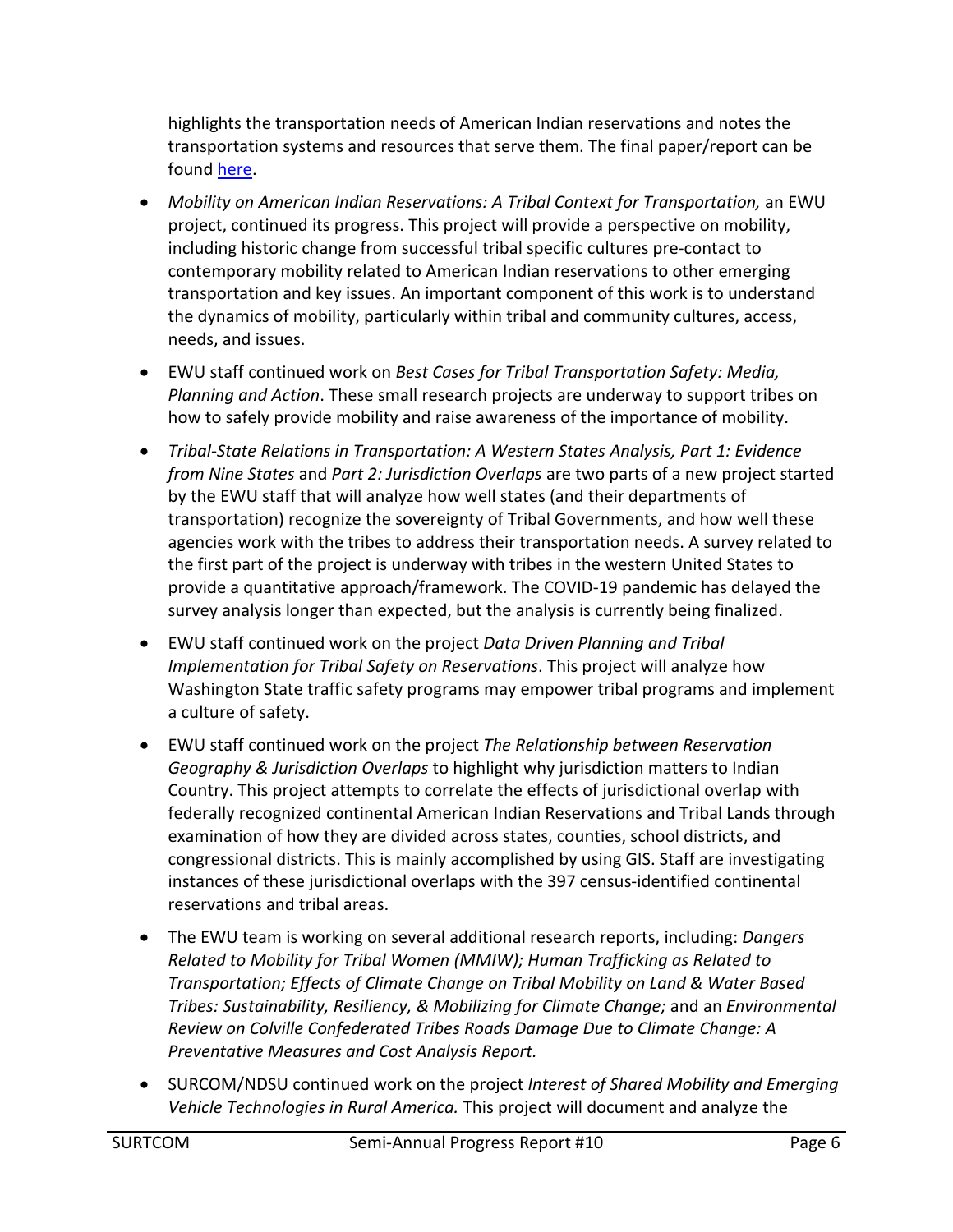highlights the transportation needs of American Indian reservations and notes the transportation systems and resources that serve them. The final paper/report can be found [here.](https://cdn.ewu.edu/cahss/wp-content/uploads/sites/25/2022/04/Mobility-and-Resource-Accessibility-for-Fed.-Recognized-American-Indian-Reservations-within-the-Western-US-.pdf)

- *Mobility on American Indian Reservations: A Tribal Context for Transportation,* an EWU project, continued its progress. This project will provide a perspective on mobility, including historic change from successful tribal specific cultures pre-contact to contemporary mobility related to American Indian reservations to other emerging transportation and key issues. An important component of this work is to understand the dynamics of mobility, particularly within tribal and community cultures, access, needs, and issues.
- EWU staff continued work on *Best Cases for Tribal Transportation Safety: Media, Planning and Action*. These small research projects are underway to support tribes on how to safely provide mobility and raise awareness of the importance of mobility.
- *Tribal-State Relations in Transportation: A Western States Analysis, Part 1: Evidence from Nine States* and *Part 2: Jurisdiction Overlaps* are two parts of a new project started by the EWU staff that will analyze how well states (and their departments of transportation) recognize the sovereignty of Tribal Governments, and how well these agencies work with the tribes to address their transportation needs. A survey related to the first part of the project is underway with tribes in the western United States to provide a quantitative approach/framework. The COVID-19 pandemic has delayed the survey analysis longer than expected, but the analysis is currently being finalized.
- EWU staff continued work on the project *Data Driven Planning and Tribal Implementation for Tribal Safety on Reservations*. This project will analyze how Washington State traffic safety programs may empower tribal programs and implement a culture of safety.
- EWU staff continued work on the project *The Relationship between Reservation Geography & Jurisdiction Overlaps* to highlight why jurisdiction matters to Indian Country. This project attempts to correlate the effects of jurisdictional overlap with federally recognized continental American Indian Reservations and Tribal Lands through examination of how they are divided across states, counties, school districts, and congressional districts. This is mainly accomplished by using GIS. Staff are investigating instances of these jurisdictional overlaps with the 397 census-identified continental reservations and tribal areas.
- The EWU team is working on several additional research reports, including: *Dangers Related to Mobility for Tribal Women (MMIW); Human Trafficking as Related to Transportation; Effects of Climate Change on Tribal Mobility on Land & Water Based Tribes: Sustainability, Resiliency, & Mobilizing for Climate Change;* and an *Environmental Review on Colville Confederated Tribes Roads Damage Due to Climate Change: A Preventative Measures and Cost Analysis Report.*
- SURCOM/NDSU continued work on the project *Interest of Shared Mobility and Emerging Vehicle Technologies in Rural America.* This project will document and analyze the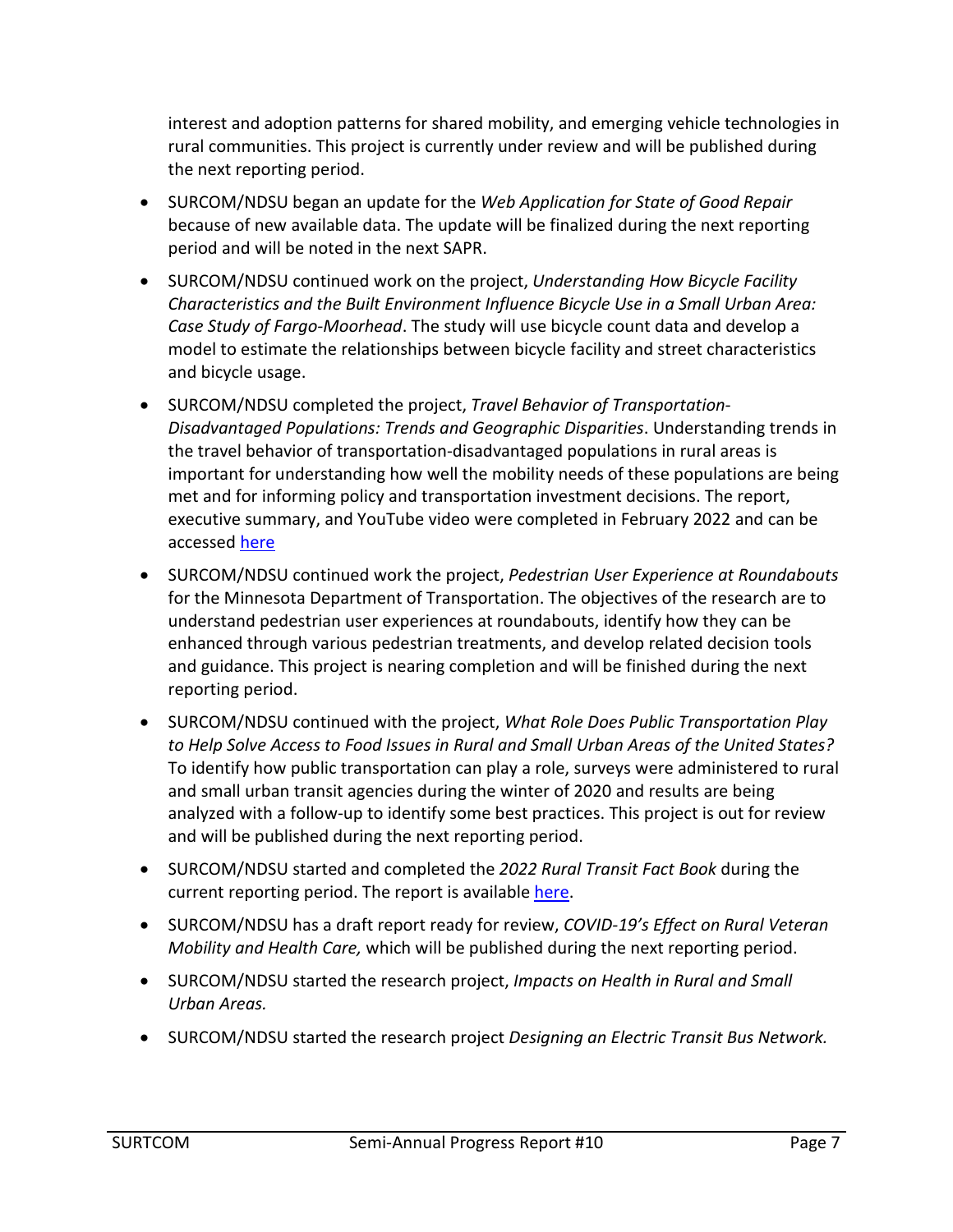interest and adoption patterns for shared mobility, and emerging vehicle technologies in rural communities. This project is currently under review and will be published during the next reporting period.

- SURCOM/NDSU began an update for the *Web Application for State of Good Repair* because of new available data. The update will be finalized during the next reporting period and will be noted in the next SAPR.
- SURCOM/NDSU continued work on the project, *Understanding How Bicycle Facility Characteristics and the Built Environment Influence Bicycle Use in a Small Urban Area: Case Study of Fargo-Moorhead*. The study will use bicycle count data and develop a model to estimate the relationships between bicycle facility and street characteristics and bicycle usage.
- SURCOM/NDSU completed the project, *Travel Behavior of Transportation-Disadvantaged Populations: Trends and Geographic Disparities*. Understanding trends in the travel behavior of transportation-disadvantaged populations in rural areas is important for understanding how well the mobility needs of these populations are being met and for informing policy and transportation investment decisions. The report, executive summary, and YouTube video were completed in February 2022 and can be accessed [here](https://www.ugpti.org/resources/reports/details.php?id=1057&program=surcom)
- SURCOM/NDSU continued work the project, *Pedestrian User Experience at Roundabouts* for the Minnesota Department of Transportation. The objectives of the research are to understand pedestrian user experiences at roundabouts, identify how they can be enhanced through various pedestrian treatments, and develop related decision tools and guidance. This project is nearing completion and will be finished during the next reporting period.
- SURCOM/NDSU continued with the project, *What Role Does Public Transportation Play to Help Solve Access to Food Issues in Rural and Small Urban Areas of the United States?* To identify how public transportation can play a role, surveys were administered to rural and small urban transit agencies during the winter of 2020 and results are being analyzed with a follow-up to identify some best practices. This project is out for review and will be published during the next reporting period.
- SURCOM/NDSU started and completed the *2022 Rural Transit Fact Book* during the current reporting period. The report is available [here.](https://www.ugpti.org/resources/reports/details.php?id=1058&program=surcom)
- SURCOM/NDSU has a draft report ready for review, *COVID-19's Effect on Rural Veteran Mobility and Health Care,* which will be published during the next reporting period.
- SURCOM/NDSU started the research project, *Impacts on Health in Rural and Small Urban Areas.*
- SURCOM/NDSU started the research project *Designing an Electric Transit Bus Network.*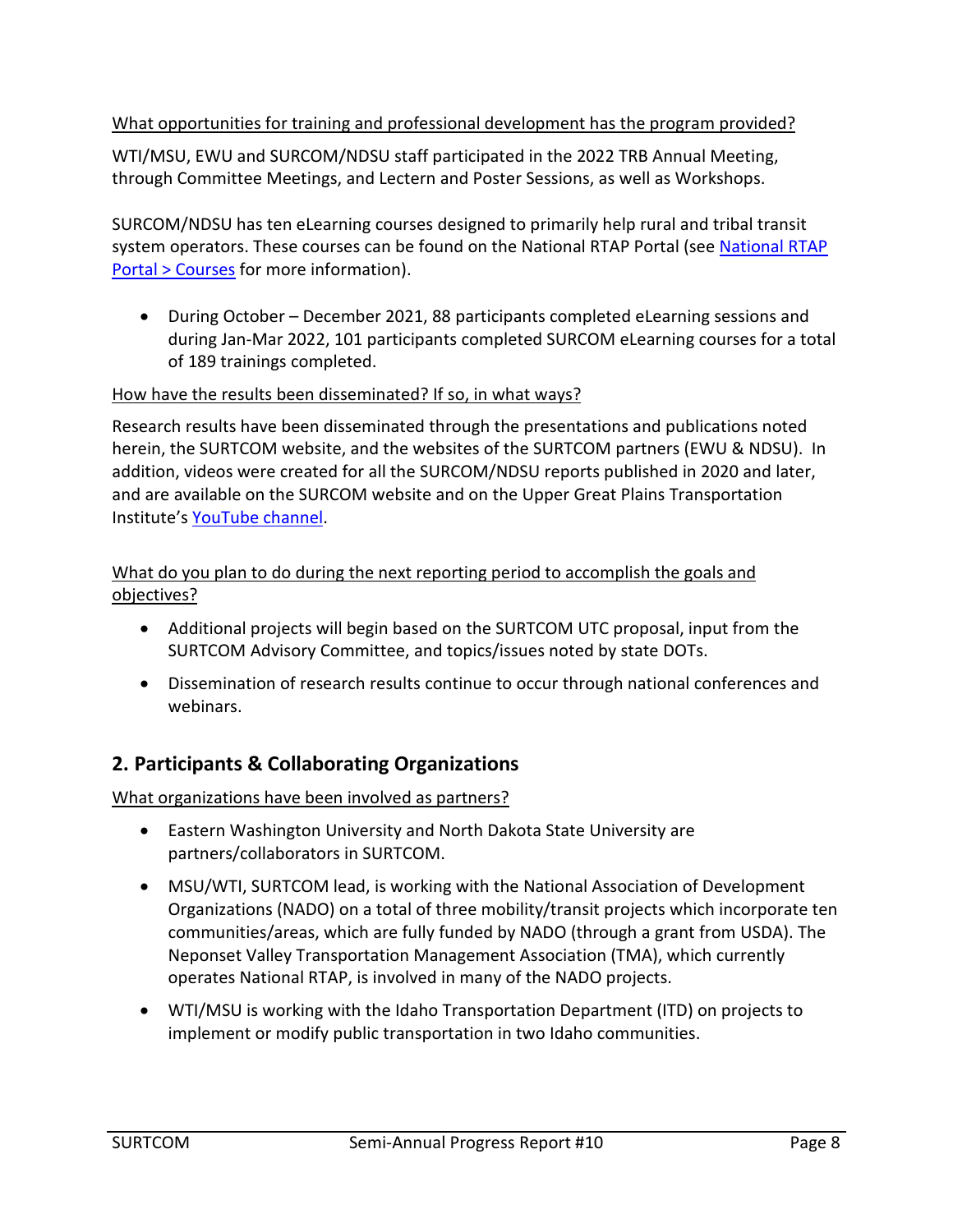What opportunities for training and professional development has the program provided?

WTI/MSU, EWU and SURCOM/NDSU staff participated in the 2022 TRB Annual Meeting, through Committee Meetings, and Lectern and Poster Sessions, as well as Workshops.

SURCOM/NDSU has ten eLearning courses designed to primarily help rural and tribal transit system operators. These courses can be found on the [National RTAP](https://elearning.nationalrtap.org/Courses/LrnrTab1217/myplan/LrnrCtrl1217/myplan/LrnrKC1217/true/FID1217/0995af1b-e535-414a-afb8-c80df2e6c205) Portal (see National RTAP [Portal > Courses](https://elearning.nationalrtap.org/Courses/LrnrTab1217/myplan/LrnrCtrl1217/myplan/LrnrKC1217/true/FID1217/0995af1b-e535-414a-afb8-c80df2e6c205) for more information).

• During October – December 2021, 88 participants completed eLearning sessions and during Jan-Mar 2022, 101 participants completed SURCOM eLearning courses for a total of 189 trainings completed.

#### How have the results been disseminated? If so, in what ways?

Research results have been disseminated through the presentations and publications noted herein, the SURTCOM website, and the websites of the SURTCOM partners (EWU & NDSU). In addition, videos were created for all the SURCOM/NDSU reports published in 2020 and later, and are available on the SURCOM website and on the Upper Great Plains Transportation Institute's [YouTube channel](https://www.youtube.com/channel/UC7N6fvuuFQKsI08iLkdafTQ).

#### What do you plan to do during the next reporting period to accomplish the goals and objectives?

- Additional projects will begin based on the SURTCOM UTC proposal, input from the SURTCOM Advisory Committee, and topics/issues noted by state DOTs.
- Dissemination of research results continue to occur through national conferences and webinars.

# **2. Participants & Collaborating Organizations**

What organizations have been involved as partners?

- Eastern Washington University and North Dakota State University are partners/collaborators in SURTCOM.
- MSU/WTI, SURTCOM lead, is working with the National Association of Development Organizations (NADO) on a total of three mobility/transit projects which incorporate ten communities/areas, which are fully funded by NADO (through a grant from USDA). The Neponset Valley Transportation Management Association (TMA), which currently operates National RTAP, is involved in many of the NADO projects.
- WTI/MSU is working with the Idaho Transportation Department (ITD) on projects to implement or modify public transportation in two Idaho communities.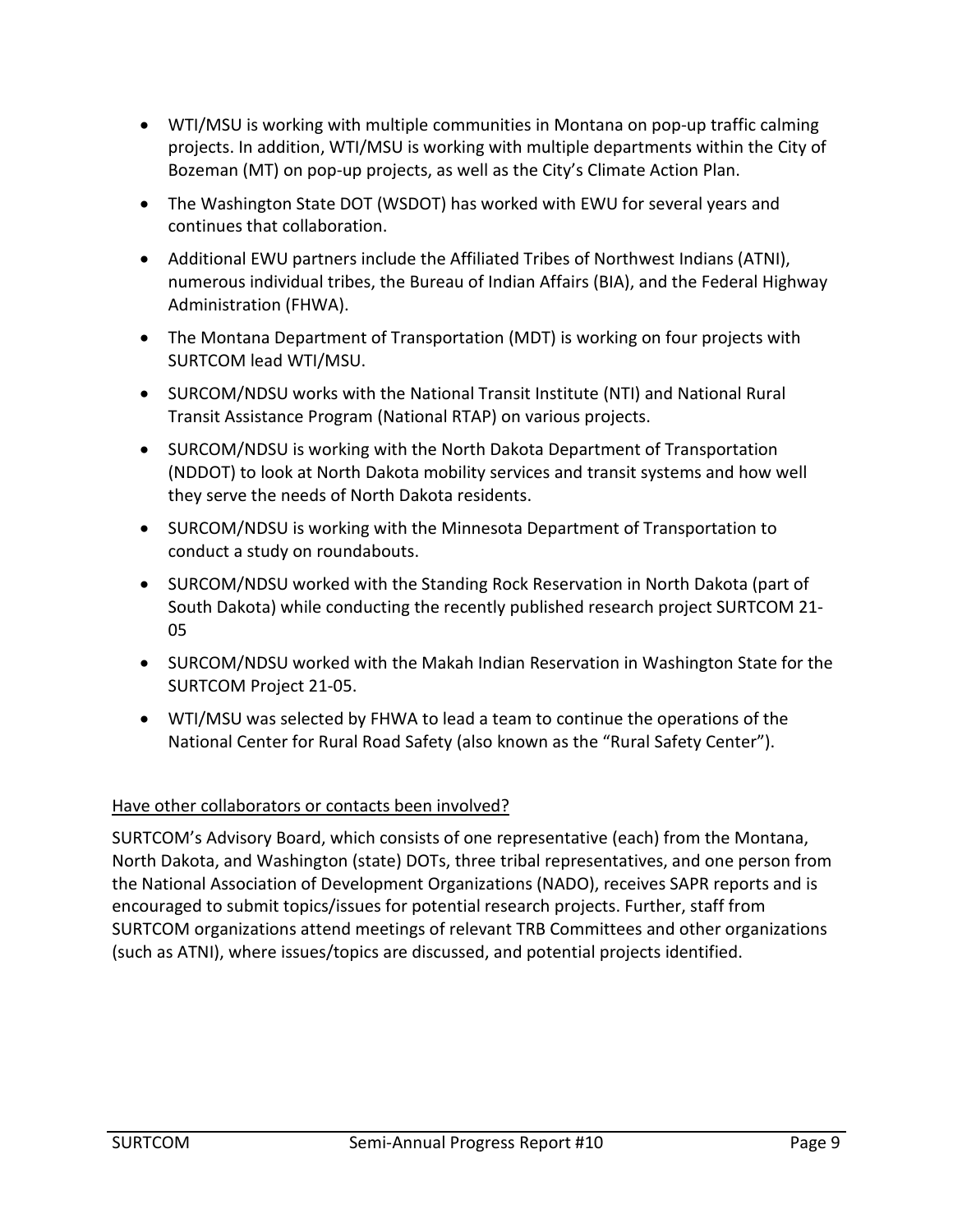- WTI/MSU is working with multiple communities in Montana on pop-up traffic calming projects. In addition, WTI/MSU is working with multiple departments within the City of Bozeman (MT) on pop-up projects, as well as the City's Climate Action Plan.
- The Washington State DOT (WSDOT) has worked with EWU for several years and continues that collaboration.
- Additional EWU partners include the Affiliated Tribes of Northwest Indians (ATNI), numerous individual tribes, the Bureau of Indian Affairs (BIA), and the Federal Highway Administration (FHWA).
- The Montana Department of Transportation (MDT) is working on four projects with SURTCOM lead WTI/MSU.
- SURCOM/NDSU works with the National Transit Institute (NTI) and National Rural Transit Assistance Program (National RTAP) on various projects.
- SURCOM/NDSU is working with the North Dakota Department of Transportation (NDDOT) to look at North Dakota mobility services and transit systems and how well they serve the needs of North Dakota residents.
- SURCOM/NDSU is working with the Minnesota Department of Transportation to conduct a study on roundabouts.
- SURCOM/NDSU worked with the Standing Rock Reservation in North Dakota (part of South Dakota) while conducting the recently published research project SURTCOM 21- 05
- SURCOM/NDSU worked with the Makah Indian Reservation in Washington State for the SURTCOM Project 21-05.
- WTI/MSU was selected by FHWA to lead a team to continue the operations of the National Center for Rural Road Safety (also known as the "Rural Safety Center").

#### Have other collaborators or contacts been involved?

SURTCOM's Advisory Board, which consists of one representative (each) from the Montana, North Dakota, and Washington (state) DOTs, three tribal representatives, and one person from the National Association of Development Organizations (NADO), receives SAPR reports and is encouraged to submit topics/issues for potential research projects. Further, staff from SURTCOM organizations attend meetings of relevant TRB Committees and other organizations (such as ATNI), where issues/topics are discussed, and potential projects identified.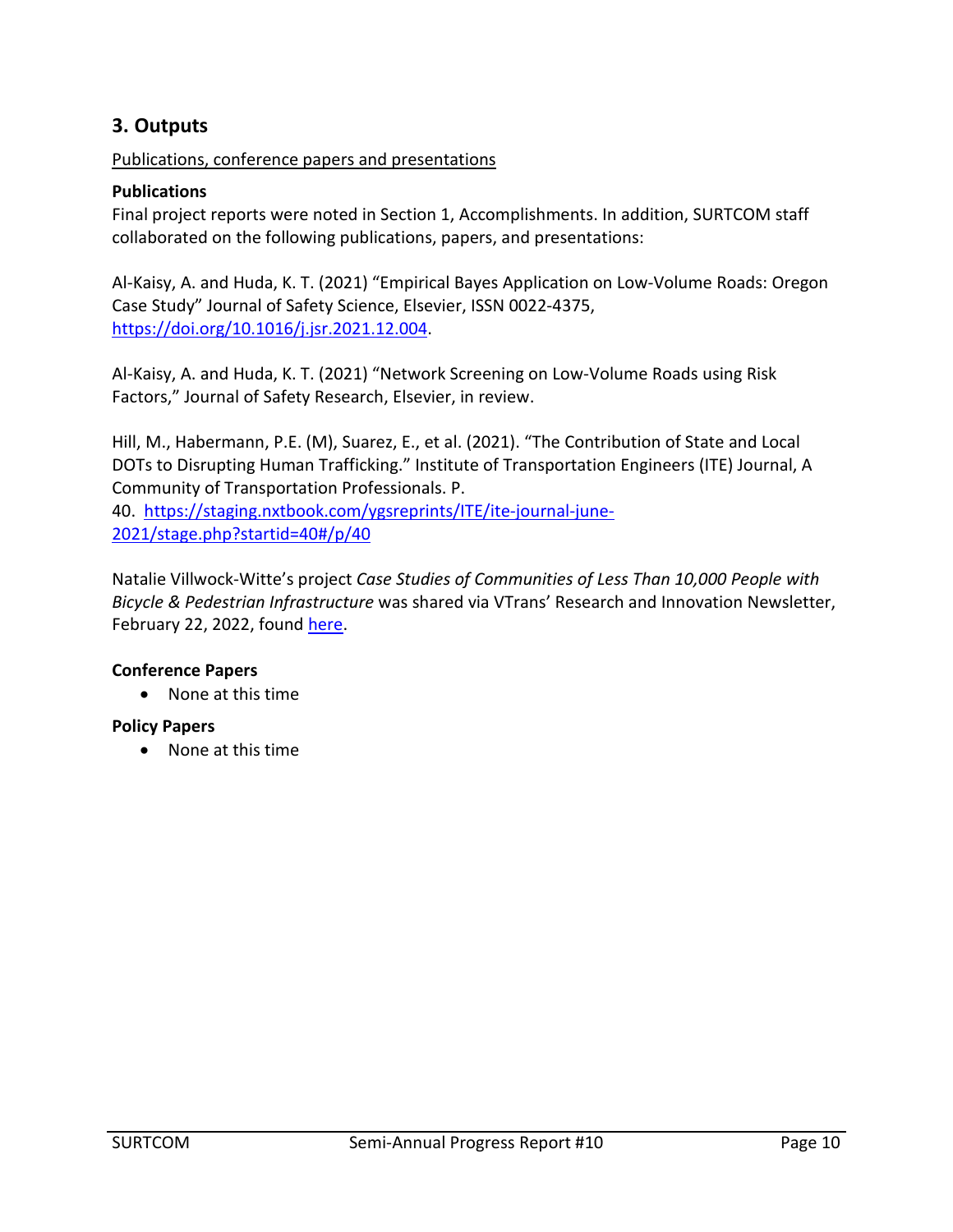# **3. Outputs**

Publications, conference papers and presentations

#### **Publications**

Final project reports were noted in Section 1, Accomplishments. In addition, SURTCOM staff collaborated on the following publications, papers, and presentations:

Al-Kaisy, A. and Huda, K. T. (2021) "Empirical Bayes Application on Low-Volume Roads: Oregon Case Study" Journal of Safety Science, Elsevier, ISSN 0022-4375, [https://doi.org/10.1016/j.jsr.2021.12.004.](https://doi.org/10.1016/j.jsr.2021.12.004)

Al-Kaisy, A. and Huda, K. T. (2021) "Network Screening on Low-Volume Roads using Risk Factors," Journal of Safety Research, Elsevier, in review.

Hill, M., Habermann, P.E. (M), Suarez, E., et al. (2021). "The Contribution of State and Local DOTs to Disrupting Human Trafficking." Institute of Transportation Engineers (ITE) Journal, A Community of Transportation Professionals. P.

40. [https://staging.nxtbook.com/ygsreprints/ITE/ite-journal-june-](https://staging.nxtbook.com/ygsreprints/ITE/ite-journal-june-2021/stage.php?startid=40#/p/40)[2021/stage.php?startid=40#/p/40](https://staging.nxtbook.com/ygsreprints/ITE/ite-journal-june-2021/stage.php?startid=40#/p/40)

Natalie Villwock-Witte's project *Case Studies of Communities of Less Than 10,000 People with Bicycle & Pedestrian Infrastructure* was shared via VTrans' Research and Innovation Newsletter, February 22, 2022, found [here.](https://vtrans.vermont.gov/planning/research/2021-symposium/e2)

#### **Conference Papers**

• None at this time

#### **Policy Papers**

• None at this time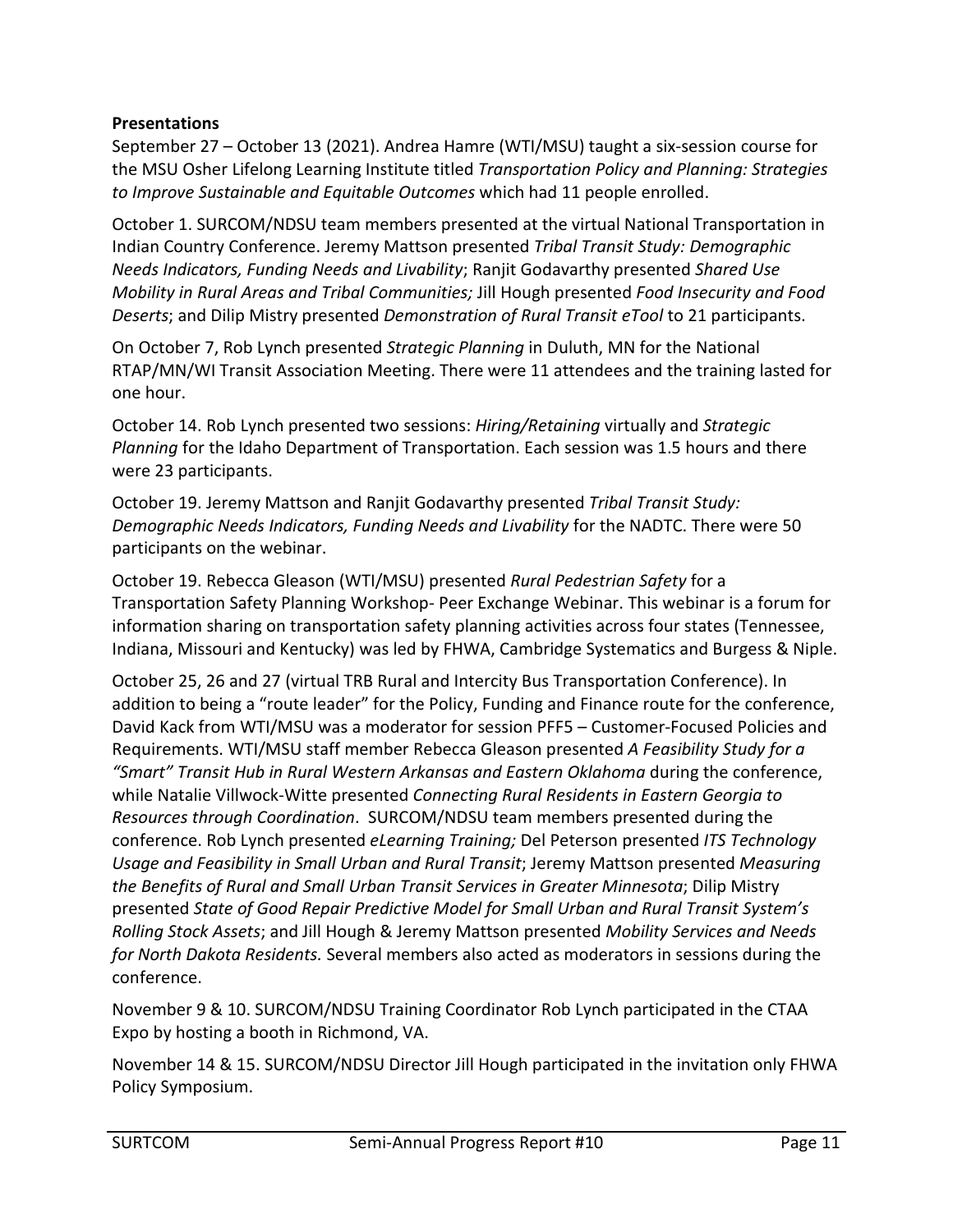#### **Presentations**

September 27 – October 13 (2021). Andrea Hamre (WTI/MSU) taught a six-session course for the MSU Osher Lifelong Learning Institute titled *Transportation Policy and Planning: Strategies to Improve Sustainable and Equitable Outcomes* which had 11 people enrolled.

October 1. SURCOM/NDSU team members presented at the virtual National Transportation in Indian Country Conference. Jeremy Mattson presented *Tribal Transit Study: Demographic Needs Indicators, Funding Needs and Livability*; Ranjit Godavarthy presented *Shared Use Mobility in Rural Areas and Tribal Communities;* Jill Hough presented *Food Insecurity and Food Deserts*; and Dilip Mistry presented *Demonstration of Rural Transit eTool* to 21 participants.

On October 7, Rob Lynch presented *Strategic Planning* in Duluth, MN for the National RTAP/MN/WI Transit Association Meeting. There were 11 attendees and the training lasted for one hour.

October 14. Rob Lynch presented two sessions: *Hiring/Retaining* virtually and *Strategic Planning* for the Idaho Department of Transportation. Each session was 1.5 hours and there were 23 participants.

October 19. Jeremy Mattson and Ranjit Godavarthy presented *Tribal Transit Study: Demographic Needs Indicators, Funding Needs and Livability* for the NADTC. There were 50 participants on the webinar.

October 19. Rebecca Gleason (WTI/MSU) presented *Rural Pedestrian Safety* for a Transportation Safety Planning Workshop- Peer Exchange Webinar. This webinar is a forum for information sharing on transportation safety planning activities across four states (Tennessee, Indiana, Missouri and Kentucky) was led by FHWA, Cambridge Systematics and Burgess & Niple.

October 25, 26 and 27 (virtual TRB Rural and Intercity Bus Transportation Conference). In addition to being a "route leader" for the Policy, Funding and Finance route for the conference, David Kack from WTI/MSU was a moderator for session PFF5 – Customer-Focused Policies and Requirements. WTI/MSU staff member Rebecca Gleason presented *A Feasibility Study for a "Smart" Transit Hub in Rural Western Arkansas and Eastern Oklahoma* during the conference, while Natalie Villwock-Witte presented *Connecting Rural Residents in Eastern Georgia to Resources through Coordination*. SURCOM/NDSU team members presented during the conference. Rob Lynch presented *eLearning Training;* Del Peterson presented *ITS Technology Usage and Feasibility in Small Urban and Rural Transit*; Jeremy Mattson presented *Measuring the Benefits of Rural and Small Urban Transit Services in Greater Minnesota*; Dilip Mistry presented *State of Good Repair Predictive Model for Small Urban and Rural Transit System's Rolling Stock Assets*; and Jill Hough & Jeremy Mattson presented *Mobility Services and Needs for North Dakota Residents.* Several members also acted as moderators in sessions during the conference.

November 9 & 10. SURCOM/NDSU Training Coordinator Rob Lynch participated in the CTAA Expo by hosting a booth in Richmond, VA.

November 14 & 15. SURCOM/NDSU Director Jill Hough participated in the invitation only FHWA Policy Symposium.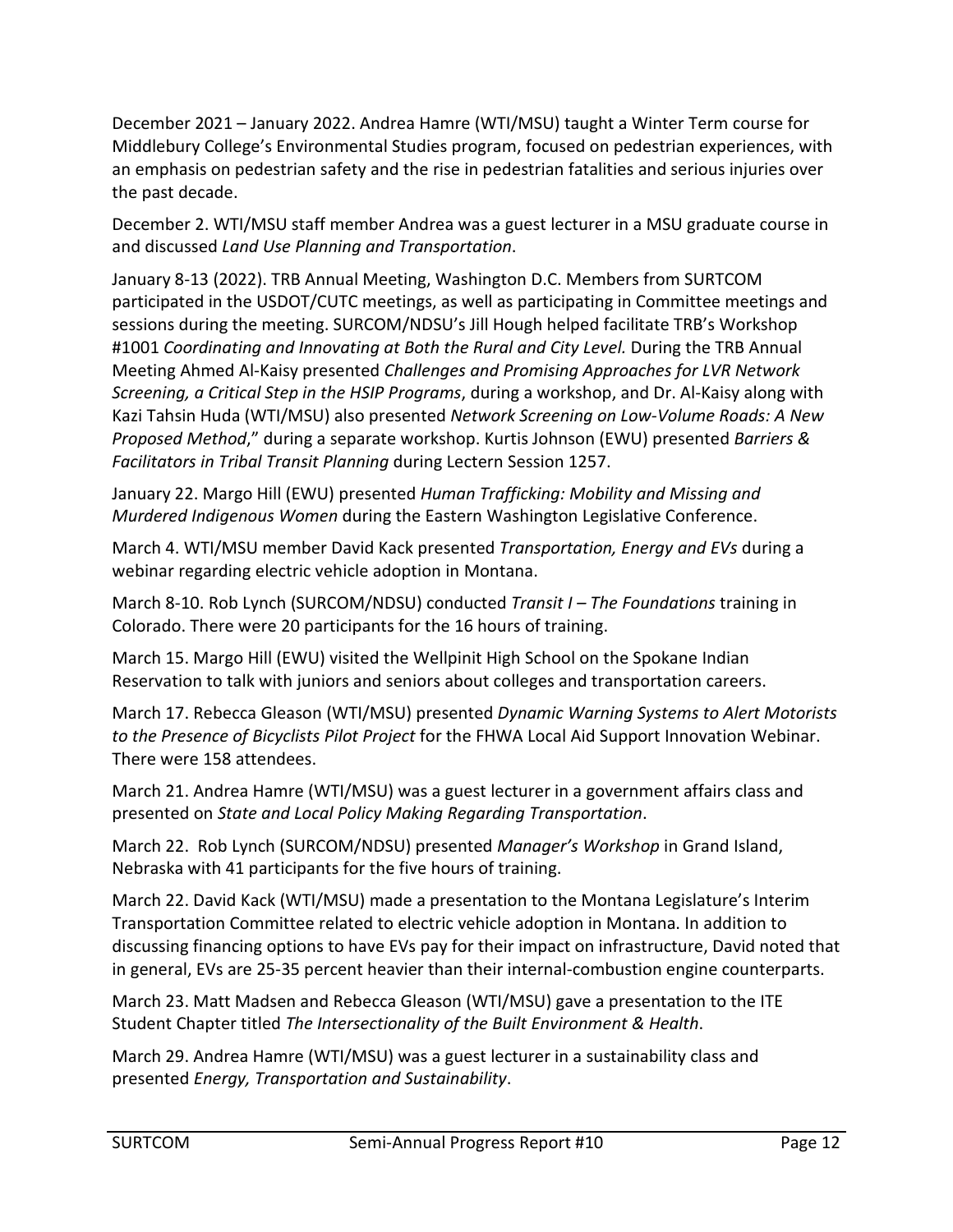December 2021 – January 2022. Andrea Hamre (WTI/MSU) taught a Winter Term course for Middlebury College's Environmental Studies program, focused on pedestrian experiences, with an emphasis on pedestrian safety and the rise in pedestrian fatalities and serious injuries over the past decade.

December 2. WTI/MSU staff member Andrea was a guest lecturer in a MSU graduate course in and discussed *Land Use Planning and Transportation*.

January 8-13 (2022). TRB Annual Meeting, Washington D.C. Members from SURTCOM participated in the USDOT/CUTC meetings, as well as participating in Committee meetings and sessions during the meeting. SURCOM/NDSU's Jill Hough helped facilitate TRB's Workshop #1001 *Coordinating and Innovating at Both the Rural and City Level.* During the TRB Annual Meeting Ahmed Al-Kaisy presented *Challenges and Promising Approaches for LVR Network Screening, a Critical Step in the HSIP Programs*, during a workshop, and Dr. Al-Kaisy along with Kazi Tahsin Huda (WTI/MSU) also presented *Network Screening on Low-Volume Roads: A New Proposed Method*," during a separate workshop. Kurtis Johnson (EWU) presented *Barriers & Facilitators in Tribal Transit Planning* during Lectern Session 1257.

January 22. Margo Hill (EWU) presented *Human Trafficking: Mobility and Missing and Murdered Indigenous Women* during the Eastern Washington Legislative Conference.

March 4. WTI/MSU member David Kack presented *Transportation, Energy and EVs* during a webinar regarding electric vehicle adoption in Montana.

March 8-10. Rob Lynch (SURCOM/NDSU) conducted *Transit I – The Foundations* training in Colorado. There were 20 participants for the 16 hours of training.

March 15. Margo Hill (EWU) visited the Wellpinit High School on the Spokane Indian Reservation to talk with juniors and seniors about colleges and transportation careers.

March 17. Rebecca Gleason (WTI/MSU) presented *Dynamic Warning Systems to Alert Motorists to the Presence of Bicyclists Pilot Project* for the FHWA Local Aid Support Innovation Webinar. There were 158 attendees.

March 21. Andrea Hamre (WTI/MSU) was a guest lecturer in a government affairs class and presented on *State and Local Policy Making Regarding Transportation*.

March 22. Rob Lynch (SURCOM/NDSU) presented *Manager's Workshop* in Grand Island, Nebraska with 41 participants for the five hours of training.

March 22. David Kack (WTI/MSU) made a presentation to the Montana Legislature's Interim Transportation Committee related to electric vehicle adoption in Montana. In addition to discussing financing options to have EVs pay for their impact on infrastructure, David noted that in general, EVs are 25-35 percent heavier than their internal-combustion engine counterparts.

March 23. Matt Madsen and Rebecca Gleason (WTI/MSU) gave a presentation to the ITE Student Chapter titled *The Intersectionality of the Built Environment & Health*.

March 29. Andrea Hamre (WTI/MSU) was a guest lecturer in a sustainability class and presented *Energy, Transportation and Sustainability*.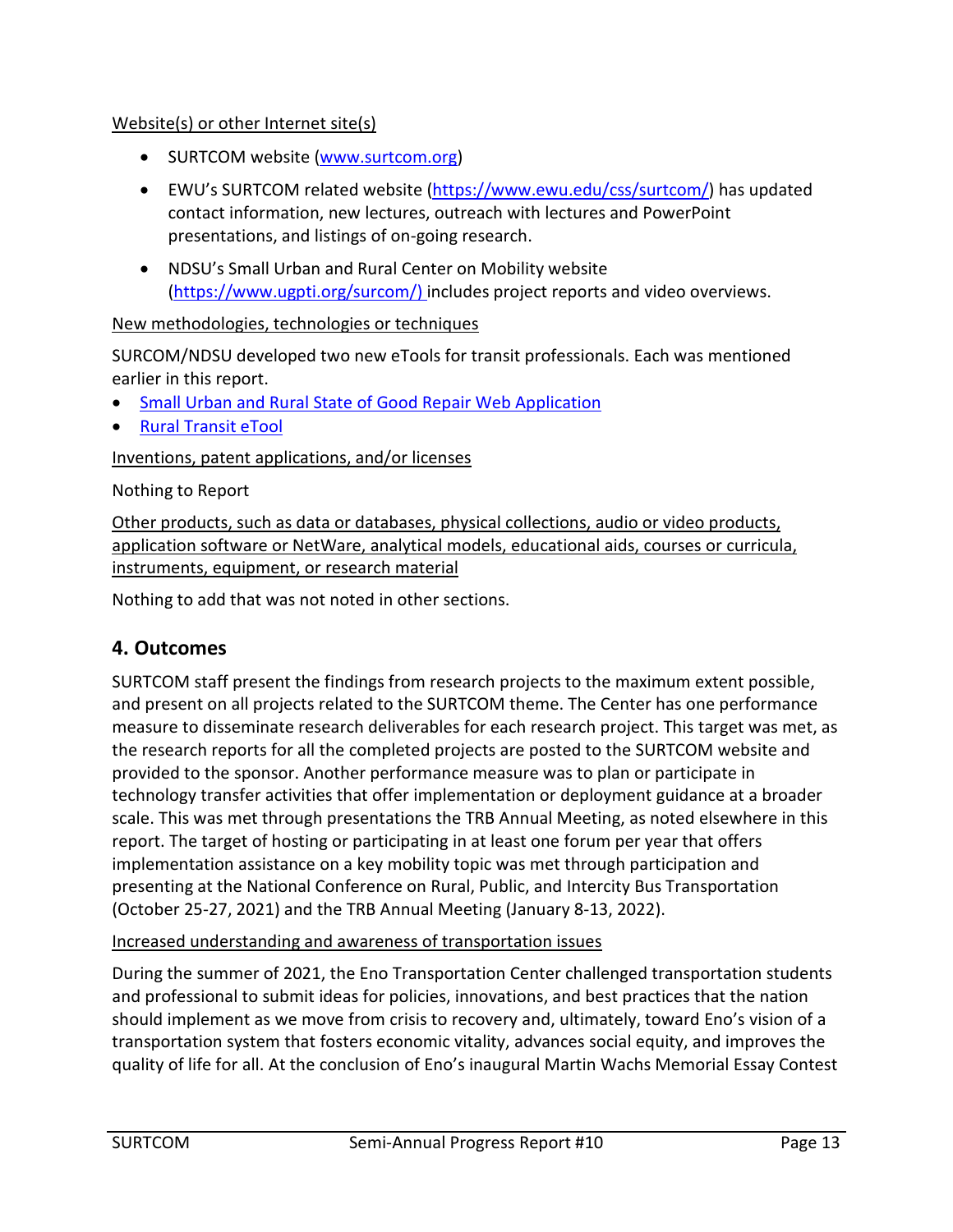#### Website(s) or other Internet site(s)

- SURTCOM website [\(www.surtcom.org\)](http://www.surtcom.org/)
- EWU's SURTCOM related website [\(https://www.ewu.edu/css/surtcom/\)](https://www.ewu.edu/css/surtcom/) has updated contact information, new lectures, outreach with lectures and PowerPoint presentations, and listings of on-going research.
- NDSU's Small Urban and Rural Center on Mobility website [\(https://www.ugpti.org/surcom/\)](https://www.ugpti.org/surcom/) includes project reports and video overviews.

#### New methodologies, technologies or techniques

SURCOM/NDSU developed two new eTools for transit professionals. Each was mentioned earlier in this report.

- [Small Urban and Rural State of Good Repair Web Application](https://www.ugpti.org/surcom/resources/sgr.php)
- [Rural Transit eTool](https://www.ugpti.org/surcom/resources/transit-etool.php)

#### Inventions, patent applications, and/or licenses

Nothing to Report

Other products, such as data or databases, physical collections, audio or video products, application software or NetWare, analytical models, educational aids, courses or curricula, instruments, equipment, or research material

Nothing to add that was not noted in other sections.

# **4. Outcomes**

SURTCOM staff present the findings from research projects to the maximum extent possible, and present on all projects related to the SURTCOM theme. The Center has one performance measure to disseminate research deliverables for each research project. This target was met, as the research reports for all the completed projects are posted to the SURTCOM website and provided to the sponsor. Another performance measure was to plan or participate in technology transfer activities that offer implementation or deployment guidance at a broader scale. This was met through presentations the TRB Annual Meeting, as noted elsewhere in this report. The target of hosting or participating in at least one forum per year that offers implementation assistance on a key mobility topic was met through participation and presenting at the National Conference on Rural, Public, and Intercity Bus Transportation (October 25-27, 2021) and the TRB Annual Meeting (January 8-13, 2022).

#### Increased understanding and awareness of transportation issues

During the summer of 2021, the Eno Transportation Center challenged transportation students and professional to submit ideas for policies, innovations, and best practices that the nation should implement as we move from crisis to recovery and, ultimately, toward Eno's vision of a transportation system that fosters economic vitality, advances social equity, and improves the quality of life for all. At the conclusion of Eno's inaugural Martin Wachs Memorial Essay Contest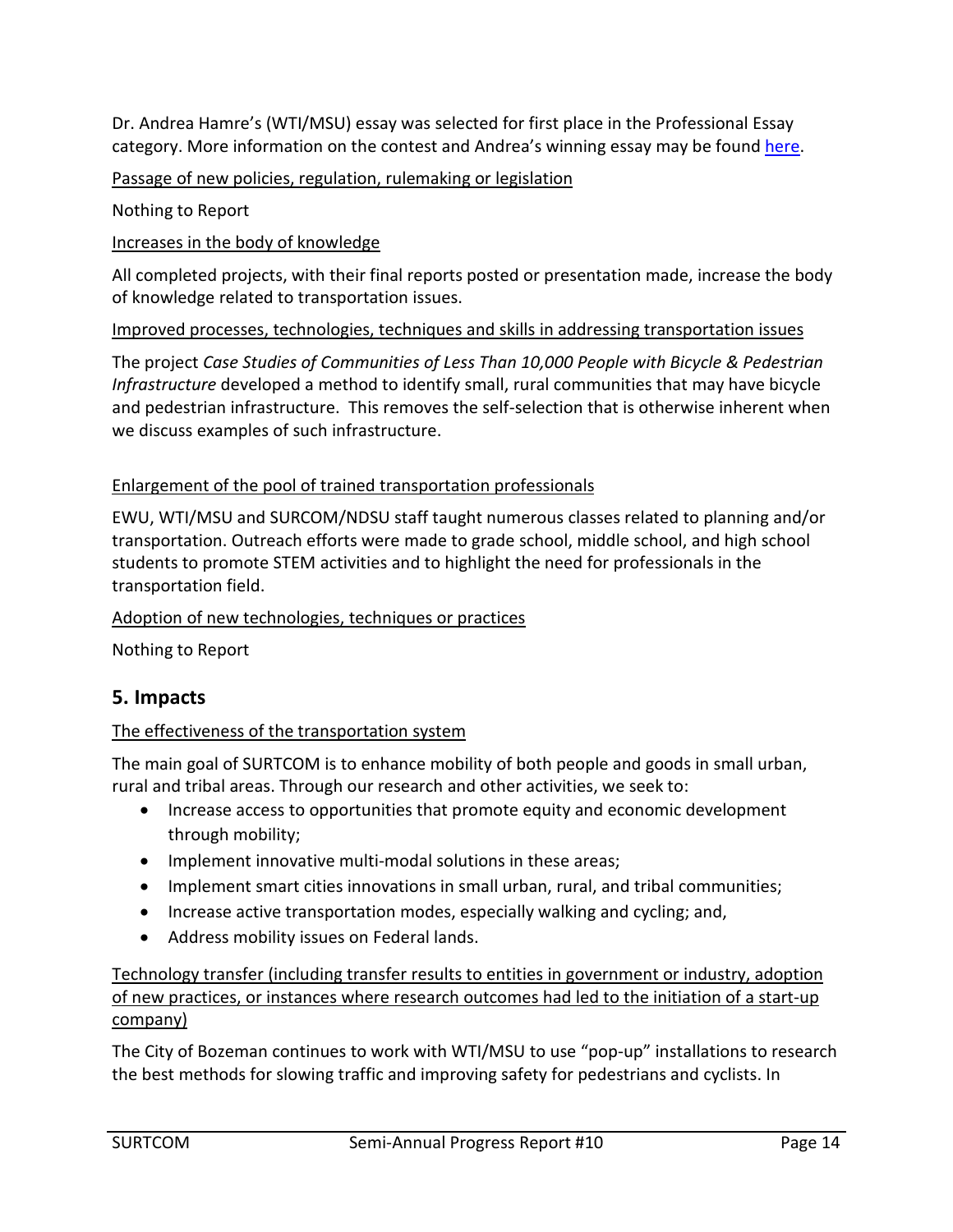Dr. Andrea Hamre's (WTI/MSU) essay was selected for first place in the Professional Essay category. More information on the contest and Andrea's winning essay may be found [here.](https://www.enotrans.org/article/announcing-the-winners-of-the-martin-wachs-memorial-essay-contest/)

#### Passage of new policies, regulation, rulemaking or legislation

Nothing to Report

Increases in the body of knowledge

All completed projects, with their final reports posted or presentation made, increase the body of knowledge related to transportation issues.

#### Improved processes, technologies, techniques and skills in addressing transportation issues

The project *Case Studies of Communities of Less Than 10,000 People with Bicycle & Pedestrian Infrastructure* developed a method to identify small, rural communities that may have bicycle and pedestrian infrastructure. This removes the self-selection that is otherwise inherent when we discuss examples of such infrastructure.

#### Enlargement of the pool of trained transportation professionals

EWU, WTI/MSU and SURCOM/NDSU staff taught numerous classes related to planning and/or transportation. Outreach efforts were made to grade school, middle school, and high school students to promote STEM activities and to highlight the need for professionals in the transportation field.

#### Adoption of new technologies, techniques or practices

Nothing to Report

# **5. Impacts**

#### The effectiveness of the transportation system

The main goal of SURTCOM is to enhance mobility of both people and goods in small urban, rural and tribal areas. Through our research and other activities, we seek to:

- Increase access to opportunities that promote equity and economic development through mobility;
- Implement innovative multi-modal solutions in these areas;
- Implement smart cities innovations in small urban, rural, and tribal communities;
- Increase active transportation modes, especially walking and cycling; and,
- Address mobility issues on Federal lands.

Technology transfer (including transfer results to entities in government or industry, adoption of new practices, or instances where research outcomes had led to the initiation of a start-up company)

The City of Bozeman continues to work with WTI/MSU to use "pop-up" installations to research the best methods for slowing traffic and improving safety for pedestrians and cyclists. In